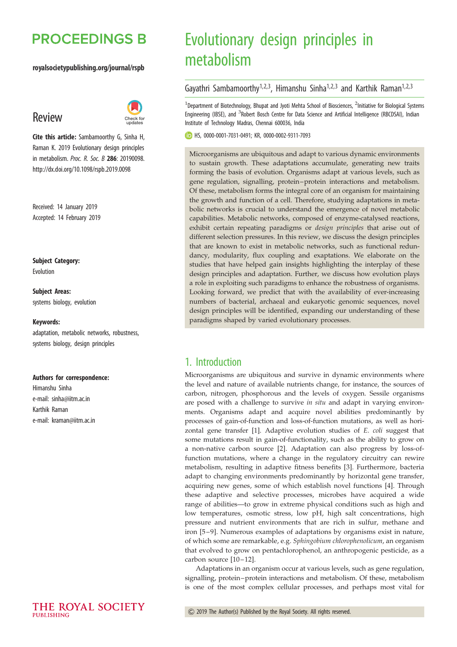# **PROCEEDINGS B**

#### royalsocietypublishing.org/journal/rspb

# Review



Cite this article: Sambamoorthy G, Sinha H, Raman K. 2019 Evolutionary design principles in metabolism. Proc. R. Soc. B 286: 20190098. http://dx.doi.org/10.1098/rspb.2019.0098

Received: 14 January 2019 Accepted: 14 February 2019

Subject Category: Evolution

Subject Areas: systems biology, evolution

#### Keywords:

adaptation, metabolic networks, robustness, systems biology, design principles

#### Authors for correspondence:

Himanshu Sinha e-mail: [sinha@iitm.ac.in](mailto:sinha@iitm.ac.in) Karthik Raman e-mail: [kraman@iitm.ac.in](mailto:kraman@iitm.ac.in)

# Evolutionary design principles in metabolism

Gayathri Sambamoorthy<sup>1,2,3</sup>, Himanshu Sinha<sup>1,2,3</sup> and Karthik Raman<sup>1,2,3</sup>

<sup>1</sup>Department of Biotechnology, Bhupat and Jyoti Mehta School of Biosciences, <sup>2</sup>Initiative for Biological Systems Engineering (IBSE), and <sup>3</sup>Robert Bosch Centre for Data Science and Artificial Intelligence (RBCDSAI), Indian Institute of Technology Madras, Chennai 600036, India

HS, [0000-0001-7031-0491;](http://orcid.org/0000-0001-7031-0491) KR, [0000-0002-9311-7093](http://orcid.org/0000-0002-9311-7093)

Microorganisms are ubiquitous and adapt to various dynamic environments to sustain growth. These adaptations accumulate, generating new traits forming the basis of evolution. Organisms adapt at various levels, such as gene regulation, signalling, protein–protein interactions and metabolism. Of these, metabolism forms the integral core of an organism for maintaining the growth and function of a cell. Therefore, studying adaptations in metabolic networks is crucial to understand the emergence of novel metabolic capabilities. Metabolic networks, composed of enzyme-catalysed reactions, exhibit certain repeating paradigms or design principles that arise out of different selection pressures. In this review, we discuss the design principles that are known to exist in metabolic networks, such as functional redundancy, modularity, flux coupling and exaptations. We elaborate on the studies that have helped gain insights highlighting the interplay of these design principles and adaptation. Further, we discuss how evolution plays a role in exploiting such paradigms to enhance the robustness of organisms. Looking forward, we predict that with the availability of ever-increasing numbers of bacterial, archaeal and eukaryotic genomic sequences, novel design principles will be identified, expanding our understanding of these paradigms shaped by varied evolutionary processes.

## 1. Introduction

Microorganisms are ubiquitous and survive in dynamic environments where the level and nature of available nutrients change, for instance, the sources of carbon, nitrogen, phosphorous and the levels of oxygen. Sessile organisms are posed with a challenge to survive in situ and adapt in varying environments. Organisms adapt and acquire novel abilities predominantly by processes of gain-of-function and loss-of-function mutations, as well as horizontal gene transfer [\[1\]](#page-5-0). Adaptive evolution studies of E. coli suggest that some mutations result in gain-of-functionality, such as the ability to grow on a non-native carbon source [\[2](#page-5-0)]. Adaptation can also progress by loss-offunction mutations, where a change in the regulatory circuitry can rewire metabolism, resulting in adaptive fitness benefits [\[3\]](#page-5-0). Furthermore, bacteria adapt to changing environments predominantly by horizontal gene transfer, acquiring new genes, some of which establish novel functions [\[4](#page-5-0)]. Through these adaptive and selective processes, microbes have acquired a wide range of abilities—to grow in extreme physical conditions such as high and low temperatures, osmotic stress, low pH, high salt concentrations, high pressure and nutrient environments that are rich in sulfur, methane and iron [\[5](#page-5-0)-9]. Numerous examples of adaptations by organisms exist in nature, of which some are remarkable, e.g. Sphingobium chlorophenolicum, an organism that evolved to grow on pentachlorophenol, an anthropogenic pesticide, as a carbon source [\[10](#page-5-0)-12].

Adaptations in an organism occur at various levels, such as gene regulation, signalling, protein –protein interactions and metabolism. Of these, metabolism is one of the most complex cellular processes, and perhaps most vital for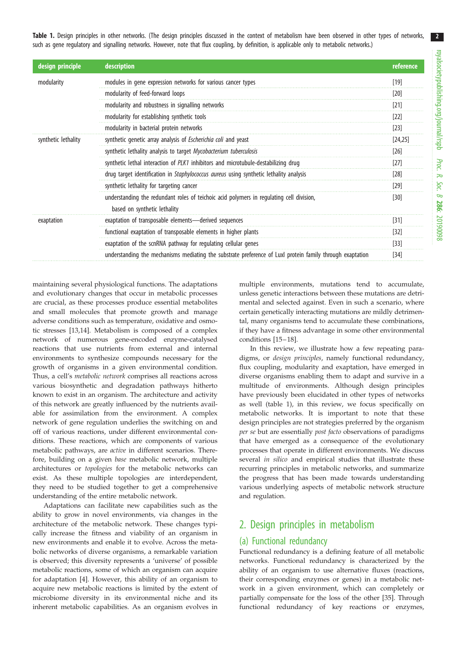Table 1. Design principles in other networks. (The design principles discussed in the context of metabolism have been observed in other types of networks, such as gene regulatory and signalling networks. However, note that flux coupling, by definition, is applicable only to metabolic networks.)

| design principle    | description                                                                                                              | reference |
|---------------------|--------------------------------------------------------------------------------------------------------------------------|-----------|
| modularity          | modules in gene expression networks for various cancer types                                                             | $[19]$    |
|                     | modularity of feed-forward loops                                                                                         | [20]      |
|                     | modularity and robustness in signalling networks                                                                         | $[21]$    |
|                     | modularity for establishing synthetic tools                                                                              | $[22]$    |
|                     | modularity in bacterial protein networks                                                                                 | $[23]$    |
| synthetic lethality | synthetic genetic array analysis of Escherichia coli and yeast                                                           | [24,25]   |
|                     | synthetic lethality analysis to target Mycobacterium tuberculosis                                                        | $[26]$    |
|                     | synthetic lethal interaction of PLK1 inhibitors and microtubule-destabilizing drug                                       | $[27]$    |
|                     | drug target identification in Staphylococcus aureus using synthetic lethality analysis                                   | [28]      |
|                     | synthetic lethality for targeting cancer                                                                                 | $[29]$    |
|                     | understanding the redundant roles of teichoic acid polymers in regulating cell division,<br>based on synthetic lethality | [30]      |
| exaptation          | exaptation of transposable elements—derived sequences                                                                    | $[31]$    |
|                     | functional exaptation of transposable elements in higher plants                                                          | $[32]$    |
|                     | exaptation of the scnRNA pathway for regulating cellular genes                                                           | $[33]$    |
|                     | understanding the mechanisms mediating the substrate preference of Luxl protein family through exaptation                | $[34]$    |

maintaining several physiological functions. The adaptations and evolutionary changes that occur in metabolic processes are crucial, as these processes produce essential metabolites and small molecules that promote growth and manage adverse conditions such as temperature, oxidative and osmotic stresses [\[13,14](#page-5-0)]. Metabolism is composed of a complex network of numerous gene-encoded enzyme-catalysed reactions that use nutrients from external and internal environments to synthesize compounds necessary for the growth of organisms in a given environmental condition. Thus, a cell's metabolic network comprises all reactions across various biosynthetic and degradation pathways hitherto known to exist in an organism. The architecture and activity of this network are greatly influenced by the nutrients available for assimilation from the environment. A complex network of gene regulation underlies the switching on and off of various reactions, under different environmental conditions. These reactions, which are components of various metabolic pathways, are active in different scenarios. Therefore, building on a given base metabolic network, multiple architectures or topologies for the metabolic networks can exist. As these multiple topologies are interdependent, they need to be studied together to get a comprehensive understanding of the entire metabolic network.

Adaptations can facilitate new capabilities such as the ability to grow in novel environments, via changes in the architecture of the metabolic network. These changes typically increase the fitness and viability of an organism in new environments and enable it to evolve. Across the metabolic networks of diverse organisms, a remarkable variation is observed; this diversity represents a 'universe' of possible metabolic reactions, some of which an organism can acquire for adaptation [[4](#page-5-0)]. However, this ability of an organism to acquire new metabolic reactions is limited by the extent of microbiome diversity in its environmental niche and its inherent metabolic capabilities. As an organism evolves in multiple environments, mutations tend to accumulate, unless genetic interactions between these mutations are detrimental and selected against. Even in such a scenario, where certain genetically interacting mutations are mildly detrimental, many organisms tend to accumulate these combinations, if they have a fitness advantage in some other environmental conditions [[15](#page-5-0)-[18](#page-6-0)].

In this review, we illustrate how a few repeating paradigms, or design principles, namely functional redundancy, flux coupling, modularity and exaptation, have emerged in diverse organisms enabling them to adapt and survive in a multitude of environments. Although design principles have previously been elucidated in other types of networks as well (table 1), in this review, we focus specifically on metabolic networks. It is important to note that these design principles are not strategies preferred by the organism per se but are essentially post facto observations of paradigms that have emerged as a consequence of the evolutionary processes that operate in different environments. We discuss several *in silico* and empirical studies that illustrate these recurring principles in metabolic networks, and summarize the progress that has been made towards understanding various underlying aspects of metabolic network structure and regulation.

# 2. Design principles in metabolism

## (a) Functional redundancy

Functional redundancy is a defining feature of all metabolic networks. Functional redundancy is characterized by the ability of an organism to use alternative fluxes (reactions, their corresponding enzymes or genes) in a metabolic network in a given environment, which can completely or partially compensate for the loss of the other [\[35](#page-6-0)]. Through functional redundancy of key reactions or enzymes,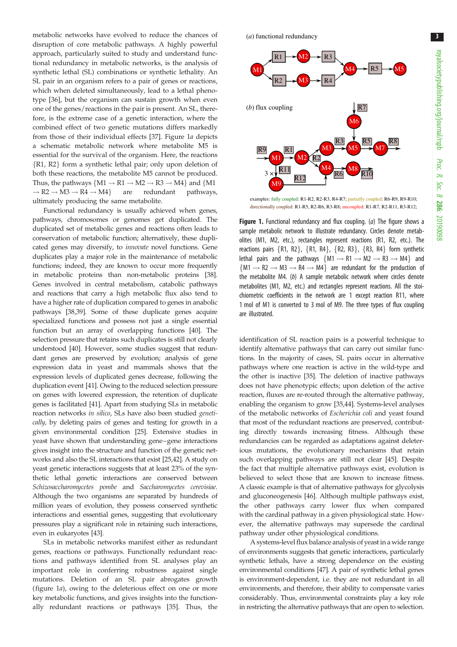<span id="page-2-0"></span>metabolic networks have evolved to reduce the chances of disruption of core metabolic pathways. A highly powerful approach, particularly suited to study and understand functional redundancy in metabolic networks, is the analysis of synthetic lethal (SL) combinations or synthetic lethality. An SL pair in an organism refers to a pair of genes or reactions, which when deleted simultaneously, lead to a lethal phenotype [[36\]](#page-6-0), but the organism can sustain growth when even one of the genes/reactions in the pair is present. An SL, therefore, is the extreme case of a genetic interaction, where the combined effect of two genetic mutations differs markedly from those of their individual effects [\[37](#page-6-0)]. Figure 1a depicts a schematic metabolic network where metabolite M5 is essential for the survival of the organism. Here, the reactions  ${R1, R2}$  form a synthetic lethal pair; only upon deletion of both these reactions, the metabolite M5 cannot be produced. Thus, the pathways  $\{M1 \rightarrow R1 \rightarrow M2 \rightarrow R3 \rightarrow M4\}$  and  $\{M1$  $\rightarrow$  R2  $\rightarrow$  M3  $\rightarrow$  R4  $\rightarrow$  M4} are redundant pathways, ultimately producing the same metabolite.

Functional redundancy is usually achieved when genes, pathways, chromosomes or genomes get duplicated. The duplicated set of metabolic genes and reactions often leads to conservation of metabolic function; alternatively, these duplicated genes may diversify, to innovate novel functions. Gene duplicates play a major role in the maintenance of metabolic functions; indeed, they are known to occur more frequently in metabolic proteins than non-metabolic proteins [[38](#page-6-0)]. Genes involved in central metabolism, catabolic pathways and reactions that carry a high metabolic flux also tend to have a higher rate of duplication compared to genes in anabolic pathways [\[38,39](#page-6-0)]. Some of these duplicate genes acquire specialized functions and possess not just a single essential function but an array of overlapping functions [\[40](#page-6-0)]. The selection pressure that retains such duplicates is still not clearly understood [\[40\]](#page-6-0). However, some studies suggest that redundant genes are preserved by evolution; analysis of gene expression data in yeast and mammals shows that the expression levels of duplicated genes decrease, following the duplication event [\[41](#page-6-0)]. Owing to the reduced selection pressure on genes with lowered expression, the retention of duplicate genes is facilitated [\[41\]](#page-6-0). Apart from studying SLs in metabolic reaction networks in silico, SLs have also been studied genetically, by deleting pairs of genes and testing for growth in a given environmental condition [[25](#page-6-0)]. Extensive studies in yeast have shown that understanding gene–gene interactions gives insight into the structure and function of the genetic networks and also the SL interactions that exist [\[25,42\]](#page-6-0). A study on yeast genetic interactions suggests that at least 23% of the synthetic lethal genetic interactions are conserved between Schizosaccharomycetes pombe and Saccharomycetes cerevisiae. Although the two organisms are separated by hundreds of million years of evolution, they possess conserved synthetic interactions and essential genes, suggesting that evolutionary pressures play a significant role in retaining such interactions, even in eukaryotes [[43](#page-6-0)].

SLs in metabolic networks manifest either as redundant genes, reactions or pathways. Functionally redundant reactions and pathways identified from SL analyses play an important role in conferring robustness against single mutations. Deletion of an SL pair abrogates growth (figure 1a), owing to the deleterious effect on one or more key metabolic functions, and gives insights into the functionally redundant reactions or pathways [\[35](#page-6-0)]. Thus, the

(*a*) functional redundancy



examples: fully coupled: R1-R2, R2-R3, R4-R7; partially coupled: R6-R9, R9-R10; directionally coupled: R1-R5, R2-R6, R3-R8; uncoupled: R1-R7, R2-R11, R3-R12;

**Figure 1.** Functional redundancy and flux coupling. ( $a$ ) The figure shows a sample metabolic network to illustrate redundancy. Circles denote metabolites (M1, M2, etc.), rectangles represent reactions (R1, R2, etc.). The reactions pairs  $\{R1, R2\}$ ,  $\{R1, R4\}$ ,  $\{R2, R3\}$ ,  $\{R3, R4\}$  form synthetic lethal pairs and the pathways  ${M1 \rightarrow R1 \rightarrow M2 \rightarrow R3 \rightarrow M4}$  and  ${M1 \rightarrow R2 \rightarrow M3 \rightarrow R4 \rightarrow M4}$  are redundant for the production of the metabolite M4. (b) A sample metabolic network where circles denote metabolites (M1, M2, etc.) and rectangles represent reactions. All the stoichiometric coefficients in the network are 1 except reaction R11, where 1 mol of M1 is converted to 3 mol of M9. The three types of flux coupling are illustrated.

identification of SL reaction pairs is a powerful technique to identify alternative pathways that can carry out similar functions. In the majority of cases, SL pairs occur in alternative pathways where one reaction is active in the wild-type and the other is inactive [[35\]](#page-6-0). The deletion of inactive pathways does not have phenotypic effects; upon deletion of the active reaction, fluxes are re-routed through the alternative pathway, enabling the organism to grow [\[35,44\]](#page-6-0). Systems-level analyses of the metabolic networks of Escherichia coli and yeast found that most of the redundant reactions are preserved, contributing directly towards increasing fitness. Although these redundancies can be regarded as adaptations against deleterious mutations, the evolutionary mechanisms that retain such overlapping pathways are still not clear [\[45\]](#page-6-0). Despite the fact that multiple alternative pathways exist, evolution is believed to select those that are known to increase fitness. A classic example is that of alternative pathways for glycolysis and gluconeogenesis [\[46](#page-6-0)]. Although multiple pathways exist, the other pathways carry lower flux when compared with the cardinal pathway in a given physiological state. However, the alternative pathways may supersede the cardinal pathway under other physiological conditions.

A systems-level flux balance analysis of yeast in a wide range of environments suggests that genetic interactions, particularly synthetic lethals, have a strong dependence on the existing environmental conditions [[47](#page-6-0)]. A pair of synthetic lethal genes is environment-dependent, i.e. they are not redundant in all environments, and therefore, their ability to compensate varies considerably. Thus, environmental constraints play a key role in restricting the alternative pathways that are open to selection.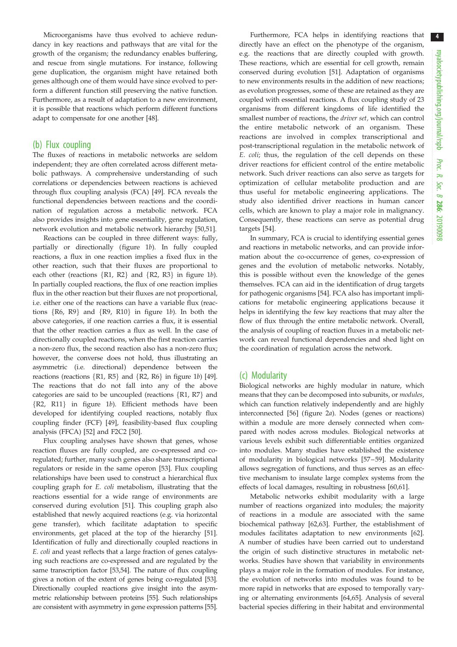Microorganisms have thus evolved to achieve redundancy in key reactions and pathways that are vital for the growth of the organism; the redundancy enables buffering, and rescue from single mutations. For instance, following gene duplication, the organism might have retained both genes although one of them would have since evolved to perform a different function still preserving the native function. Furthermore, as a result of adaptation to a new environment, it is possible that reactions which perform different functions adapt to compensate for one another [\[48\]](#page-6-0).

#### (b) Flux coupling

The fluxes of reactions in metabolic networks are seldom independent; they are often correlated across different metabolic pathways. A comprehensive understanding of such correlations or dependencies between reactions is achieved through flux coupling analysis (FCA) [[49\]](#page-6-0). FCA reveals the functional dependencies between reactions and the coordination of regulation across a metabolic network. FCA also provides insights into gene essentiality, gene regulation, network evolution and metabolic network hierarchy [\[50,51](#page-6-0)].

Reactions can be coupled in three different ways: fully, partially or directionally [\(figure 1](#page-2-0)b). In fully coupled reactions, a flux in one reaction implies a fixed flux in the other reaction, such that their fluxes are proportional to each other (reactions  $\{R1, R2\}$  and  $\{R2, R3\}$  in [figure 1](#page-2-0)b). In partially coupled reactions, the flux of one reaction implies flux in the other reaction but their fluxes are not proportional, i.e. either one of the reactions can have a variable flux (reactions  ${R6, R9}$  and  ${R9, R10}$  in [figure 1](#page-2-0)b). In both the above categories, if one reaction carries a flux, it is essential that the other reaction carries a flux as well. In the case of directionally coupled reactions, when the first reaction carries a non-zero flux, the second reaction also has a non-zero flux; however, the converse does not hold, thus illustrating an asymmetric (i.e. directional) dependence between the reactions (reactions  $\{R1, R5\}$  and  $\{R2, R6\}$  in [figure 1](#page-2-0)b) [[49](#page-6-0)]. The reactions that do not fall into any of the above categories are said to be uncoupled (reactions  $\{R1, R7\}$  and  ${R2, R11}$  in [figure 1](#page-2-0)b). Efficient methods have been developed for identifying coupled reactions, notably flux coupling finder (FCF) [[49\]](#page-6-0), feasibility-based flux coupling analysis (FFCA) [[52\]](#page-6-0) and F2C2 [[50\]](#page-6-0).

Flux coupling analyses have shown that genes, whose reaction fluxes are fully coupled, are co-expressed and coregulated; further, many such genes also share transcriptional regulators or reside in the same operon [\[53](#page-6-0)]. Flux coupling relationships have been used to construct a hierarchical flux coupling graph for E. coli metabolism, illustrating that the reactions essential for a wide range of environments are conserved during evolution [\[51](#page-6-0)]. This coupling graph also established that newly acquired reactions (e.g. via horizontal gene transfer), which facilitate adaptation to specific environments, get placed at the top of the hierarchy [\[51](#page-6-0)]. Identification of fully and directionally coupled reactions in E. coli and yeast reflects that a large fraction of genes catalysing such reactions are co-expressed and are regulated by the same transcription factor [\[53,54\]](#page-6-0). The nature of flux coupling gives a notion of the extent of genes being co-regulated [[53](#page-6-0)]. Directionally coupled reactions give insight into the asymmetric relationship between proteins [\[55\]](#page-6-0). Such relationships are consistent with asymmetry in gene expression patterns [[55](#page-6-0)].

Furthermore, FCA helps in identifying reactions that directly have an effect on the phenotype of the organism, e.g. the reactions that are directly coupled with growth. These reactions, which are essential for cell growth, remain conserved during evolution [[51\]](#page-6-0). Adaptation of organisms to new environments results in the addition of new reactions; as evolution progresses, some of these are retained as they are coupled with essential reactions. A flux coupling study of 23 organisms from different kingdoms of life identified the smallest number of reactions, the driver set, which can control the entire metabolic network of an organism. These reactions are involved in complex transcriptional and post-transcriptional regulation in the metabolic network of E. coli; thus, the regulation of the cell depends on these driver reactions for efficient control of the entire metabolic network. Such driver reactions can also serve as targets for optimization of cellular metabolite production and are thus useful for metabolic engineering applications. The study also identified driver reactions in human cancer cells, which are known to play a major role in malignancy. Consequently, these reactions can serve as potential drug targets [\[54](#page-6-0)].

In summary, FCA is crucial to identifying essential genes and reactions in metabolic networks, and can provide information about the co-occurrence of genes, co-expression of genes and the evolution of metabolic networks. Notably, this is possible without even the knowledge of the genes themselves. FCA can aid in the identification of drug targets for pathogenic organisms [[54\]](#page-6-0). FCA also has important implications for metabolic engineering applications because it helps in identifying the few key reactions that may alter the flow of flux through the entire metabolic network. Overall, the analysis of coupling of reaction fluxes in a metabolic network can reveal functional dependencies and shed light on the coordination of regulation across the network.

#### (c) Modularity

Biological networks are highly modular in nature, which means that they can be decomposed into subunits, or modules, which can function relatively independently and are highly interconnected [[56\]](#page-6-0) [\(figure 2](#page-4-0)a). Nodes (genes or reactions) within a module are more densely connected when compared with nodes across modules. Biological networks at various levels exhibit such differentiable entities organized into modules. Many studies have established the existence of modularity in biological networks [[57](#page-6-0) –[59\]](#page-6-0). Modularity allows segregation of functions, and thus serves as an effective mechanism to insulate large complex systems from the effects of local damages, resulting in robustness [\[60,61](#page-6-0)].

Metabolic networks exhibit modularity with a large number of reactions organized into modules; the majority of reactions in a module are associated with the same biochemical pathway [[62,](#page-6-0)[63\]](#page-7-0). Further, the establishment of modules facilitates adaptation to new environments [[62\]](#page-6-0). A number of studies have been carried out to understand the origin of such distinctive structures in metabolic networks. Studies have shown that variability in environments plays a major role in the formation of modules. For instance, the evolution of networks into modules was found to be more rapid in networks that are exposed to temporally varying or alternating environments [\[64,65](#page-7-0)]. Analysis of several bacterial species differing in their habitat and environmental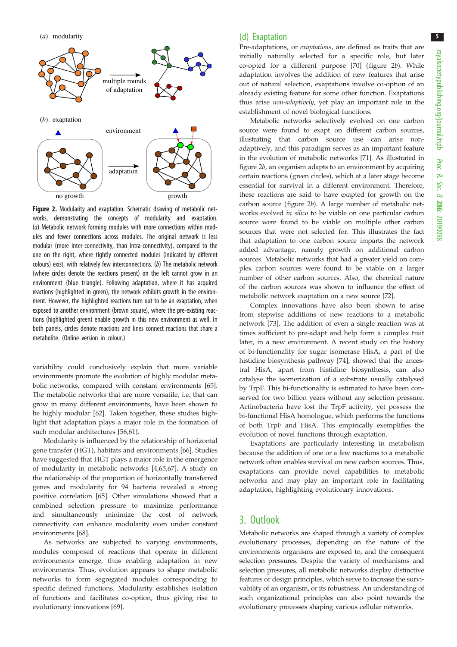<span id="page-4-0"></span>

Figure 2. Modularity and exaptation. Schematic drawing of metabolic networks, demonstrating the concepts of modularity and exaptation. (a) Metabolic network forming modules with more connections within modules and fewer connections across modules. The original network is less modular (more inter-connectivity, than intra-connectivity), compared to the one on the right, where tightly connected modules (indicated by different colours) exist, with relatively few interconnections. (b) The metabolic network (where circles denote the reactions present) on the left cannot grow in an environment (blue triangle). Following adaptation, where it has acquired reactions (highlighted in green), the network exhibits growth in the environment. However, the highlighted reactions turn out to be an exaptation, when exposed to another environment (brown square), where the pre-existing reactions (highlighted green) enable growth in this new environment as well. In both panels, circles denote reactions and lines connect reactions that share a metabolite. (Online version in colour.)

variability could conclusively explain that more variable environments promote the evolution of highly modular metabolic networks, compared with constant environments [[65](#page-7-0)]. The metabolic networks that are more versatile, i.e. that can grow in many different environments, have been shown to be highly modular [\[62](#page-6-0)]. Taken together, these studies highlight that adaptation plays a major role in the formation of such modular architectures [\[56](#page-6-0),[61\]](#page-6-0).

Modularity is influenced by the relationship of horizontal gene transfer (HGT), habitats and environments [[66\]](#page-7-0). Studies have suggested that HGT plays a major role in the emergence of modularity in metabolic networks [\[4](#page-5-0)[,65,67](#page-7-0)]. A study on the relationship of the proportion of horizontally transferred genes and modularity for 94 bacteria revealed a strong positive correlation [[65\]](#page-7-0). Other simulations showed that a combined selection pressure to maximize performance and simultaneously minimize the cost of network connectivity can enhance modularity even under constant environments [[68\]](#page-7-0).

As networks are subjected to varying environments, modules composed of reactions that operate in different environments emerge, thus enabling adaptation in new environments. Thus, evolution appears to shape metabolic networks to form segregated modules corresponding to specific defined functions. Modularity establishes isolation of functions and facilitates co-option, thus giving rise to evolutionary innovations [[69\]](#page-7-0).

#### (d) Exaptation

Pre-adaptations, or exaptations, are defined as traits that are initially naturally selected for a specific role, but later co-opted for a different purpose [\[70\]](#page-7-0) (figure 2b). While adaptation involves the addition of new features that arise out of natural selection, exaptations involve co-option of an already existing feature for some other function. Exaptations thus arise non-adaptively, yet play an important role in the establishment of novel biological functions.

Metabolic networks selectively evolved on one carbon source were found to exapt on different carbon sources, illustrating that carbon source use can arise nonadaptively, and this paradigm serves as an important feature in the evolution of metabolic networks [\[71\]](#page-7-0). As illustrated in figure 2b, an organism adapts to an environment by acquiring certain reactions (green circles), which at a later stage become essential for survival in a different environment. Therefore, these reactions are said to have exapted for growth on the carbon source (figure 2b). A large number of metabolic networks evolved in silico to be viable on one particular carbon source were found to be viable on multiple other carbon sources that were not selected for. This illustrates the fact that adaptation to one carbon source imparts the network added advantage, namely growth on additional carbon sources. Metabolic networks that had a greater yield on complex carbon sources were found to be viable on a larger number of other carbon sources. Also, the chemical nature of the carbon sources was shown to influence the effect of metabolic network exaptation on a new source [\[72\]](#page-7-0).

Complex innovations have also been shown to arise from stepwise additions of new reactions to a metabolic network [\[73](#page-7-0)]. The addition of even a single reaction was at times sufficient to pre-adapt and help form a complex trait later, in a new environment. A recent study on the history of bi-functionality for sugar isomerase HisA, a part of the histidine biosynthesis pathway [[74\]](#page-7-0), showed that the ancestral HisA, apart from histidine biosynthesis, can also catalyse the isomerization of a substrate usually catalysed by TrpF. This bi-functionality is estimated to have been conserved for two billion years without any selection pressure. Actinobacteria have lost the TrpF activity, yet possess the bi-functional HisA homologue, which performs the functions of both TrpF and HisA. This empirically exemplifies the evolution of novel functions through exaptation.

Exaptations are particularly interesting in metabolism because the addition of one or a few reactions to a metabolic network often enables survival on new carbon sources. Thus, exaptations can provide novel capabilities to metabolic networks and may play an important role in facilitating adaptation, highlighting evolutionary innovations.

### 3. Outlook

Metabolic networks are shaped through a variety of complex evolutionary processes, depending on the nature of the environments organisms are exposed to, and the consequent selection pressures. Despite the variety of mechanisms and selection pressures, all metabolic networks display distinctive features or design principles, which serve to increase the survivability of an organism, or its robustness. An understanding of such organizational principles can also point towards the evolutionary processes shaping various cellular networks.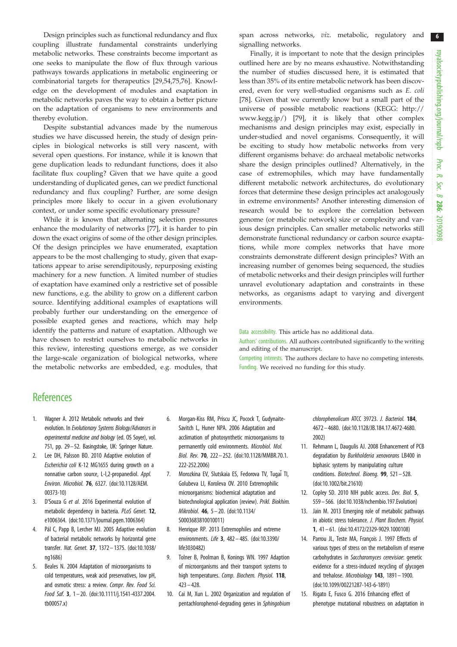<span id="page-5-0"></span>Design principles such as functional redundancy and flux coupling illustrate fundamental constraints underlying metabolic networks. These constraints become important as one seeks to manipulate the flow of flux through various pathways towards applications in metabolic engineering or combinatorial targets for therapeutics [\[29](#page-6-0),[54](#page-6-0),[75,76\]](#page-7-0). Knowledge on the development of modules and exaptation in metabolic networks paves the way to obtain a better picture on the adaptation of organisms to new environments and thereby evolution.

Despite substantial advances made by the numerous studies we have discussed herein, the study of design principles in biological networks is still very nascent, with several open questions. For instance, while it is known that gene duplication leads to redundant functions, does it also facilitate flux coupling? Given that we have quite a good understanding of duplicated genes, can we predict functional redundancy and flux coupling? Further, are some design principles more likely to occur in a given evolutionary context, or under some specific evolutionary pressure?

While it is known that alternating selection pressures enhance the modularity of networks [[77\]](#page-7-0), it is harder to pin down the exact origins of some of the other design principles. Of the design principles we have enumerated, exaptation appears to be the most challenging to study, given that exaptations appear to arise serendipitously, repurposing existing machinery for a new function. A limited number of studies of exaptation have examined only a restrictive set of possible new functions, e.g. the ability to grow on a different carbon source. Identifying additional examples of exaptations will probably further our understanding on the emergence of possible exapted genes and reactions, which may help identify the patterns and nature of exaptation. Although we have chosen to restrict ourselves to metabolic networks in this review, interesting questions emerge, as we consider the large-scale organization of biological networks, where the metabolic networks are embedded, e.g. modules, that span across networks, viz. metabolic, regulatory and signalling networks.

Finally, it is important to note that the design principles outlined here are by no means exhaustive. Notwithstanding the number of studies discussed here, it is estimated that less than 35% of its entire metabolic network has been discovered, even for very well-studied organisms such as E. coli [[78\]](#page-7-0). Given that we currently know but a small part of the universe of possible metabolic reactions (KEGG: [http://](http://www.kegg.jp/) [www.kegg.jp/](http://www.kegg.jp/)) [[79\]](#page-7-0), it is likely that other complex mechanisms and design principles may exist, especially in under-studied and novel organisms. Consequently, it will be exciting to study how metabolic networks from very different organisms behave: do archaeal metabolic networks share the design principles outlined? Alternatively, in the case of extremophiles, which may have fundamentally different metabolic network architectures, do evolutionary forces that determine these design principles act analogously in extreme environments? Another interesting dimension of research would be to explore the correlation between genome (or metabolic network) size or complexity and various design principles. Can smaller metabolic networks still demonstrate functional redundancy or carbon source exaptations, while more complex networks that have more constraints demonstrate different design principles? With an increasing number of genomes being sequenced, the studies of metabolic networks and their design principles will further unravel evolutionary adaptation and constraints in these networks, as organisms adapt to varying and divergent environments.

Data accessibility. This article has no additional data.

Authors' contributions. All authors contributed significantly to the writing and editing of the manuscript.

Competing interests. The authors declare to have no competing interests. Funding. We received no funding for this study.

# **References**

- 1. Wagner A. 2012 Metabolic networks and their evolution. In Evolutionary Systems Biology/Advances in experimental medicine and biology (ed. OS Soyer), vol. 751, pp. 29–52. Basingstoke, UK: Springer Nature.
- 2. Lee DH, Palsson BO. 2010 Adaptive evolution of Escherichia coli K-12 MG1655 during growth on a nonnative carbon source, L-l,2-propanediol. Appl. Environ. Microbiol. 76, 6327. ([doi:10.1128/AEM.](http://dx.doi.org/10.1128/AEM.00373-10) [00373-10](http://dx.doi.org/10.1128/AEM.00373-10))
- 3. D'Souza G et al. 2016 Experimental evolution of metabolic dependency in bacteria. PLoS Genet. 12, e1006364. ([doi:10.1371/journal.pgen.1006364](http://dx.doi.org/10.1371/journal.pgen.1006364))
- 4. Pál C, Papp B, Lercher MJ. 2005 Adaptive evolution of bacterial metabolic networks by horizontal gene transfer. Nat. Genet. 37, 1372– 1375. ([doi:10.1038/](http://dx.doi.org/10.1038/ng1686) [ng1686\)](http://dx.doi.org/10.1038/ng1686)
- 5. Beales N. 2004 Adaptation of microorganisms to cold temperatures, weak acid preservatives, low pH, and osmotic stress: a review. Compr. Rev. Food Sci. Food Saf. 3, 1– 20. [\(doi:10.1111/j.1541-4337.2004.](http://dx.doi.org/10.1111/j.1541-4337.2004.tb00057.x) [tb00057.x](http://dx.doi.org/10.1111/j.1541-4337.2004.tb00057.x))
- 6. Morgan-Kiss RM, Priscu JC, Pocock T, Gudynaite-Savitch L, Huner NPA. 2006 Adaptation and acclimation of photosynthetic microorganisms to permanently cold environments. Microbiol. Mol. Biol. Rev. 70, 222– 252. [\(doi:10.1128/MMBR.70.1.](http://dx.doi.org/10.1128/MMBR.70.1.222-252.2006) [222-252.2006\)](http://dx.doi.org/10.1128/MMBR.70.1.222-252.2006)
- 7. Morozkina EV, Slutskaia ES, Fedorova TV, Tugai TI, Golubeva LI, Koroleva OV. 2010 Extremophilic microorganisms: biochemical adaptation and biotechnological application (review). Prikl. Biokhim. Mikrobiol. 46, 5– 20. [\(doi:10.1134/](http://dx.doi.org/10.1134/S0003683810010011) [S0003683810010011](http://dx.doi.org/10.1134/S0003683810010011))
- 8. Henrique RP. 2013 Extremophiles and extreme environments. Life 3, 482– 485. [\(doi:10.3390/](http://dx.doi.org/10.3390/life3030482) [life3030482\)](http://dx.doi.org/10.3390/life3030482)
- 9. Tolner B, Poolman B, Konings WN. 1997 Adaption of microorganisms and their transport systems to high temperatures. Comp. Biochem. Physiol. 118,  $423 - 428$ .
- 10. Cai M, Xun L. 2002 Organization and regulation of pentachlorophenol-degrading genes in Sphingobium

chlorophenolicum ATCC 39723. J. Bacteriol. 184, 4672– 4680. ([doi:10.1128/JB.184.17.4672-4680.](http://dx.doi.org/10.1128/JB.184.17.4672-4680.2002) [2002](http://dx.doi.org/10.1128/JB.184.17.4672-4680.2002))

- 11. Rehmann L, Daugulis AJ. 2008 Enhancement of PCB degradation by Burkholderia xenovorans LB400 in biphasic systems by manipulating culture conditions. Biotechnol. Bioeng. 99, 521 – 528. ([doi:10.1002/bit.21610](http://dx.doi.org/10.1002/bit.21610))
- 12. Copley SD. 2010 NIH public access. Dev. Biol. 5, 559– 566. [\(doi:10.1038/nchembio.197.Evolution\)](http://dx.doi.org/10.1038/nchembio.197.Evolution)
- 13. Jain M. 2013 Emerging role of metabolic pathways in abiotic stress tolerance. J. Plant Biochem. Physiol. 1, 41 – 61. ([doi:10.4172/2329-9029.1000108](http://dx.doi.org/10.4172/2329-9029.1000108))
- 14. Parrou JL, Teste MA, François J. 1997 Effects of various types of stress on the metabolism of reserve carbohydrates in Saccharomyces cerevisiae: genetic evidence for a stress-induced recycling of glycogen and trehalose. Microbiology 143, 1891-1900. ([doi:10.1099/00221287-143-6-1891\)](http://dx.doi.org/10.1099/00221287-143-6-1891)
- 15. Rigato E, Fusco G. 2016 Enhancing effect of phenotype mutational robustness on adaptation in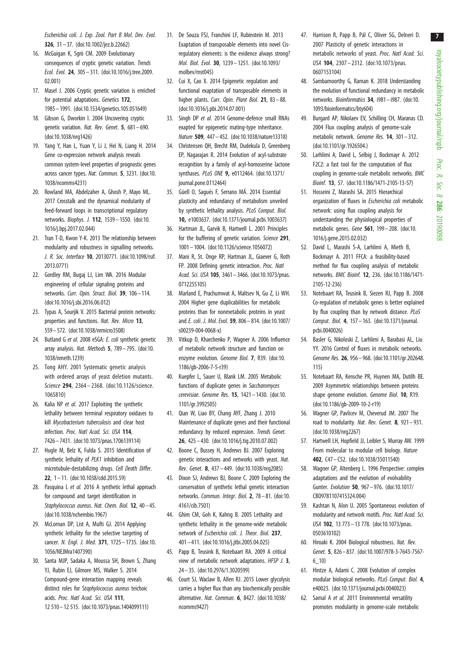royalsocietypublishing.org/journal/rspb Proc. R. Soc. $\sigma$ 286: 20190098

7

<span id="page-6-0"></span>Escherichia coli. J. Exp. Zool. Part B Mol. Dev. Evol. 326, 31 – 37. ([doi:10.1002/jez.b.22662\)](http://dx.doi.org/10.1002/jez.b.22662)

- 16. McGuigan K, Sgrò CM. 2009 Evolutionary consequences of cryptic genetic variation. Trends Ecol. Evol. 24, 305– 311. [\(doi:10.1016/j.tree.2009.](http://dx.doi.org/10.1016/j.tree.2009.02.001) [02.001\)](http://dx.doi.org/10.1016/j.tree.2009.02.001)
- 17. Masel J. 2006 Cryptic genetic variation is enriched for potential adaptations. Genetics 172, 1985 – 1991. [\(doi:10.1534/genetics.105.051649](http://dx.doi.org/10.1534/genetics.105.051649))
- 18. Gibson G, Dworkin I. 2004 Uncovering cryptic genetic variation. Nat. Rev. Genet. 5, 681– 690. [\(doi:10.1038/nrg1426\)](http://dx.doi.org/10.1038/nrg1426)
- 19. Yang Y, Han L, Yuan Y, Li J, Hei N, Liang H. 2014 Gene co-expression network analysis reveals common system-level properties of prognostic genes across cancer types. Nat. Commun. 5, 3231. ([doi:10.](http://dx.doi.org/10.1038/ncomms4231) [1038/ncomms4231\)](http://dx.doi.org/10.1038/ncomms4231)
- 20. Rowland MA, Abdelzaher A, Ghosh P, Mayo ML. 2017 Crosstalk and the dynamical modularity of feed-forward loops in transcriptional regulatory networks. Biophys. J. 112, 1539 – 1550. [\(doi:10.](http://dx.doi.org/10.1016/j.bpj.2017.02.044) [1016/j.bpj.2017.02.044\)](http://dx.doi.org/10.1016/j.bpj.2017.02.044)
- 21. Tran T-D, Kwon Y-K. 2013 The relationship between modularity and robustness in signalling networks. J. R. Soc. Interface 10, 20130771. ([doi:10.1098/rsif.](http://dx.doi.org/10.1098/rsif.2013.0771) [2013.0771\)](http://dx.doi.org/10.1098/rsif.2013.0771)
- 22. Gordley RM, Bugaj LJ, Lim WA. 2016 Modular engineering of cellular signaling proteins and networks. Curr. Opin. Struct. Biol. 39, 106– 114. [\(doi:10.1016/j.sbi.2016.06.012](http://dx.doi.org/10.1016/j.sbi.2016.06.012))
- 23. Typas A, Sourjik V. 2015 Bacterial protein networks: properties and functions. Nat. Rev. Micro 13, 559– 572. ([doi:10.1038/nrmicro3508](http://dx.doi.org/10.1038/nrmicro3508))
- 24. Butland G et al. 2008 eSGA: E. coli synthetic genetic array analysis. Nat. Methods 5, 789– 795. [\(doi:10.](http://dx.doi.org/10.1038/nmeth.1239) [1038/nmeth.1239](http://dx.doi.org/10.1038/nmeth.1239))
- 25. Tong AHY. 2001 Systematic genetic analysis with ordered arrays of yeast deletion mutants. Science 294, 2364 – 2368. ([doi:10.1126/science.](http://dx.doi.org/10.1126/science.1065810) [1065810](http://dx.doi.org/10.1126/science.1065810))
- 26. Kalia NP et al. 2017 Exploiting the synthetic lethality between terminal respiratory oxidases to kill Mycobacterium tuberculosis and clear host infection. Proc. Natl Acad. Sci. USA 114. 7426 – 7431. [\(doi:10.1073/pnas.1706139114](http://dx.doi.org/10.1073/pnas.1706139114))
- 27. Hugle M, Belz K, Fulda S. 2015 Identification of synthetic lethality of PLK1 inhibition and microtubule-destabilizing drugs. Cell Death Differ. 22, 1– 11. ([doi:10.1038/cdd.2015.59\)](http://dx.doi.org/10.1038/cdd.2015.59)
- 28. Pasquina L et al. 2016 A synthetic lethal approach for compound and target identification in Staphylococcus aureus. Nat. Chem. Biol. 12, 40– 45. [\(doi:10.1038/nchembio.1967](http://dx.doi.org/10.1038/nchembio.1967))
- 29. McLornan DP, List A, Mufti GJ. 2014 Applying synthetic lethality for the selective targeting of cancer. N. Engl. J. Med. 371, 1725– 1735. [\(doi:10.](http://dx.doi.org/10.1056/NEJMra1407390) [1056/NEJMra1407390\)](http://dx.doi.org/10.1056/NEJMra1407390)
- 30. Santa MJP, Sadaka A, Moussa SH, Brown S, Zhang YJ, Rubin EJ, Gilmore MS, Walker S. 2014 Compound-gene interaction mapping reveals distinct roles for Staphylococcus aureus teichoic acids. Proc. Natl Acad. Sci. USA 111, 12 510– 12 515. ([doi:10.1073/pnas.1404099111](http://dx.doi.org/10.1073/pnas.1404099111))
- 31. De Souza FSJ, Franchini LF, Rubinstein M. 2013 Exaptation of transposable elements into novel Cisregulatory elements: is the evidence always strong? Mol. Biol. Evol. 30, 1239 – 1251. [\(doi:10.1093/](http://dx.doi.org/10.1093/molbev/mst045) [molbev/mst045\)](http://dx.doi.org/10.1093/molbev/mst045)
- 32. Cui X, Cao X. 2014 Epigenetic regulation and functional exaptation of transposable elements in higher plants. Curr. Opin. Plant Biol. 21, 83-88. [\(doi:10.1016/j.pbi.2014.07.001](http://dx.doi.org/10.1016/j.pbi.2014.07.001))
- 33. Singh DP et al. 2014 Genome-defence small RNAs exapted for epigenetic mating-type inheritance. Nature 509, 447– 452. [\(doi:10.1038/nature13318](http://dx.doi.org/10.1038/nature13318))
- 34. Christensen QH, Brecht RM, Dudekula D, Greenberg EP, Nagarajan R. 2014 Evolution of acyl-substrate recognition by a family of acyl-homoserine lactone synthases. PLoS ONE 9, e0112464. ([doi:10.1371/](http://dx.doi.org/10.1371/journal.pone.0112464) [journal.pone.0112464\)](http://dx.doi.org/10.1371/journal.pone.0112464)
- 35. Güell O, Sagués F, Serrano MÁ. 2014 Essential plasticity and redundancy of metabolism unveiled by synthetic lethality analysis. PLoS Comput. Biol. 10, e1003637. [\(doi:10.1371/journal.pcbi.1003637](http://dx.doi.org/10.1371/journal.pcbi.1003637))
- 36. Hartman JL, Garvik B, Hartwell L. 2001 Principles for the buffering of genetic variation. Science 291, 1001– 1004. [\(doi:10.1126/science.1056072](http://dx.doi.org/10.1126/science.1056072))
- 37. Mani R, St. Onge RP, Hartman JL, Giaever G, Roth FP. 2008 Defining genetic interaction. Proc. Natl Acad. Sci. USA 105, 3461– 3466. ([doi:10.1073/pnas.](http://dx.doi.org/10.1073/pnas.0712255105) [0712255105\)](http://dx.doi.org/10.1073/pnas.0712255105)
- 38. Marland E, Prachumwat A, Maltsev N, Gu Z, Li WH. 2004 Higher gene duplicabilities for metabolic proteins than for nonmetabolic proteins in yeast and E. coli. J. Mol. Evol. 59, 806 – 814. [\(doi:10.1007/](http://dx.doi.org/10.1007/s00239-004-0068-x) [s00239-004-0068-x](http://dx.doi.org/10.1007/s00239-004-0068-x))
- 39. Vitkup D, Kharchenko P, Wagner A. 2006 Influence of metabolic network structure and function on enzyme evolution. Genome Biol. 7, R39. ([doi:10.](http://dx.doi.org/10.1186/gb-2006-7-5-r39) [1186/gb-2006-7-5-r39\)](http://dx.doi.org/10.1186/gb-2006-7-5-r39)
- 40. Kuepfer L, Sauer U, Blank LM. 2005 Metabolic functions of duplicate genes in Saccharomyces cerevisiae. Genome Res. 15, 1421 – 1430. [\(doi:10.](http://dx.doi.org/10.1101/gr.3992505) [1101/gr.3992505\)](http://dx.doi.org/10.1101/gr.3992505)
- 41. Qian W, Liao BY, Chang AYF, Zhang J. 2010 Maintenance of duplicate genes and their functional redundancy by reduced expression. Trends Genet. 26, 425– 430. ([doi:10.1016/j.tig.2010.07.002](http://dx.doi.org/10.1016/j.tig.2010.07.002))
- 42. Boone C, Bussey H, Andrews BJ. 2007 Exploring genetic interactions and networks with yeast. Nat. Rev. Genet. 8, 437 – 449. [\(doi:10.1038/nrg2085](http://dx.doi.org/10.1038/nrg2085))
- 43. Dixon SJ, Andrews BJ, Boone C. 2009 Exploring the conservation of synthetic lethal genetic interaction networks. Commun. Integr. Biol. 2, 78 – 81. [\(doi:10.](http://dx.doi.org/10.4161/cib.7501) [4161/cib.7501\)](http://dx.doi.org/10.4161/cib.7501)
- 44. Ghim CM, Goh K, Kahng B. 2005 Lethality and synthetic lethality in the genome-wide metabolic network of Escherichia coli. J. Theor. Biol. 237, 401 – 411. [\(doi:10.1016/j.jtbi.2005.04.025\)](http://dx.doi.org/10.1016/j.jtbi.2005.04.025)
- 45. Papp B, Teusink B, Notebaart RA. 2009 A critical view of metabolic network adaptations. HFSP J. 3, 24 – 35. ([doi:10.2976/1.3020599\)](http://dx.doi.org/10.2976/1.3020599)
- 46. Court SJ, Waclaw B, Allen RJ. 2015 Lower glycolysis carries a higher flux than any biochemically possible alternative. Nat. Commun. 6, 8427. ([doi:10.1038/](http://dx.doi.org/10.1038/ncomms9427) [ncomms9427\)](http://dx.doi.org/10.1038/ncomms9427)
- 47. Harrison R, Papp B, Pál C, Oliver SG, Delneri D. 2007 Plasticity of genetic interactions in metabolic networks of yeast. Proc. Natl Acad. Sci. USA 104, 2307 – 2312. [\(doi:10.1073/pnas.](http://dx.doi.org/10.1073/pnas.0607153104) [0607153104](http://dx.doi.org/10.1073/pnas.0607153104))
- 48. Sambamoorthy G, Raman K. 2018 Understanding the evolution of functional redundancy in metabolic networks. Bioinformatics 34, i981 – i987. ([doi:10.](http://dx.doi.org/10.1093/bioinformatics/bty604) [1093/bioinformatics/bty604\)](http://dx.doi.org/10.1093/bioinformatics/bty604)
- 49. Burgard AP, Nikolaev EV, Schilling CH, Maranas CD. 2004 Flux coupling analysis of genome-scale metabolic network. Genome Res. 14, 301 – 312. ([doi:10.1101/gr.1926504.](http://dx.doi.org/10.1101/gr.1926504.))
- 50. Larhlimi A, David L, Selbig J, Bockmayr A. 2012 F2C2: a fast tool for the computation of flux coupling in genome-scale metabolic networks. BMC Bioinf. 13, 57. ([doi:10.1186/1471-2105-13-57](http://dx.doi.org/10.1186/1471-2105-13-57))
- 51. Hosseini Z, Marashi SA. 2015 Hierarchical organization of fluxes in Escherichia coli metabolic network: using flux coupling analysis for understanding the physiological properties of metabolic genes. Gene 561, 199– 208. [\(doi:10.](http://dx.doi.org/10.1016/j.gene.2015.02.032) [1016/j.gene.2015.02.032\)](http://dx.doi.org/10.1016/j.gene.2015.02.032)
- 52. David L, Marashi S-A, Larhlimi A, Mieth B, Bockmayr A. 2011 FFCA: a feasibility-based method for flux coupling analysis of metabolic networks. BMC Bioinf. 12, 236. [\(doi:10.1186/1471-](http://dx.doi.org/10.1186/1471-2105-12-236) [2105-12-236\)](http://dx.doi.org/10.1186/1471-2105-12-236)
- 53. Notebaart RA, Teusink B, Siezen RJ, Papp B. 2008 Co-regulation of metabolic genes is better explained by flux coupling than by network distance. PLoS Comput. Biol. 4, 157– 163. ([doi:10.1371/journal.](http://dx.doi.org/10.1371/journal.pcbi.0040026) [pcbi.0040026](http://dx.doi.org/10.1371/journal.pcbi.0040026))
- 54. Basler G, Nikoloski Z, Larhlimi A, Barabasi AL, Liu YY. 2016 Control of fluxes in metabolic networks. Genome Res. 26, 956– 968. ([doi:10.1101/gr.202648.](http://dx.doi.org/10.1101/gr.202648.115) [115\)](http://dx.doi.org/10.1101/gr.202648.115)
- 55. Notebaart RA, Kensche PR, Huynen MA, Dutilh BE. 2009 Asymmetric relationships between proteins shape genome evolution. Genome Biol. 10, R19. ([doi:10.1186/gb-2009-10-2-r19\)](http://dx.doi.org/10.1186/gb-2009-10-2-r19)
- 56. Wagner GP, Pavlicev M, Cheverud JM. 2007 The road to modularity. Nat. Rev. Genet. 8, 921– 931. ([doi:10.1038/nrg2267](http://dx.doi.org/10.1038/nrg2267))
- 57. Hartwell LH, Hopfield JJ, Leibler S, Murray AW. 1999 From molecular to modular cell biology. Nature 402, C47– C52. ([doi:10.1038/35011540](http://dx.doi.org/10.1038/35011540))
- 58. Wagner GP, Altenberg L. 1996 Perspective: complex adaptations and the evolution of evolvability Gunter. Evolution 50, 967 – 976. [\(doi:10.1017/](http://dx.doi.org/10.1017/CBO9781107415324.004) [CBO9781107415324.004](http://dx.doi.org/10.1017/CBO9781107415324.004))
- 59. Kashtan N, Alon U. 2005 Spontaneous evolution of modularity and network motifs. Proc. Natl Acad. Sci. USA 102, 13 773– 13 778. ([doi:10.1073/pnas.](http://dx.doi.org/10.1073/pnas.0503610102) [0503610102](http://dx.doi.org/10.1073/pnas.0503610102))
- 60. Hiroaki K. 2004 Biological robustness. Nat. Rev. Genet. 5, 826– 837. ([doi:10.1007/978-3-7643-7567-](http://dx.doi.org/10.1007/978-3-7643-7567-6_10) [6\\_10](http://dx.doi.org/10.1007/978-3-7643-7567-6_10))
- 61. Hintze A, Adami C. 2008 Evolution of complex modular biological networks. PLoS Comput. Biol. 4, e40023. ([doi:10.1371/journal.pcbi.0040023\)](http://dx.doi.org/10.1371/journal.pcbi.0040023)
- 62. Samal A et al. 2011 Environmental versatility promotes modularity in genome-scale metabolic